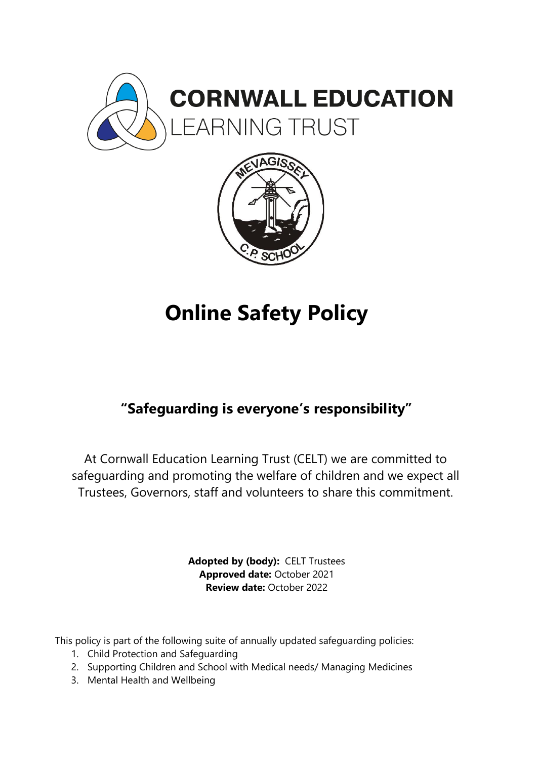



# **Online Safety Policy**

# **"Safeguarding is everyone's responsibility"**

At Cornwall Education Learning Trust (CELT) we are committed to safeguarding and promoting the welfare of children and we expect all Trustees, Governors, staff and volunteers to share this commitment.

> **Adopted by (body):** CELT Trustees **Approved date:** October 2021 **Review date:** October 2022

This policy is part of the following suite of annually updated safeguarding policies:

- 1. Child Protection and Safeguarding
- 2. Supporting Children and School with Medical needs/ Managing Medicines
- 3. Mental Health and Wellbeing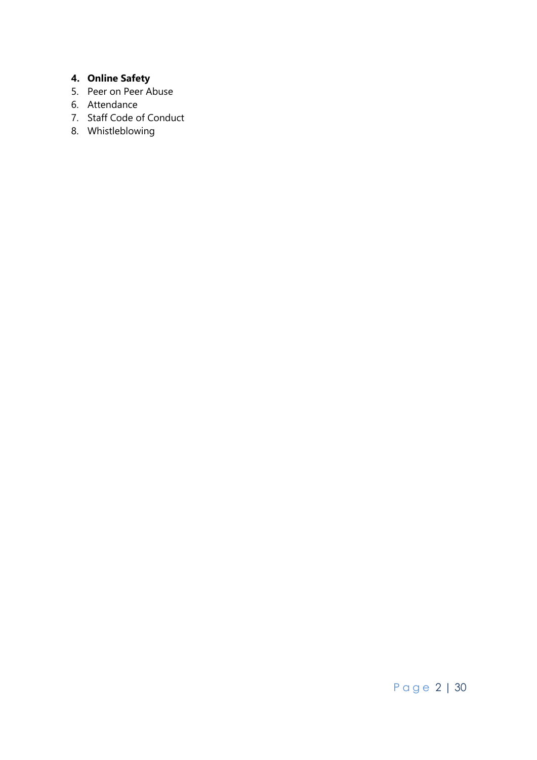# **4. Online Safety**

- 5. Peer on Peer Abuse
- 6. Attendance
- 7. Staff Code of Conduct
- 8. Whistleblowing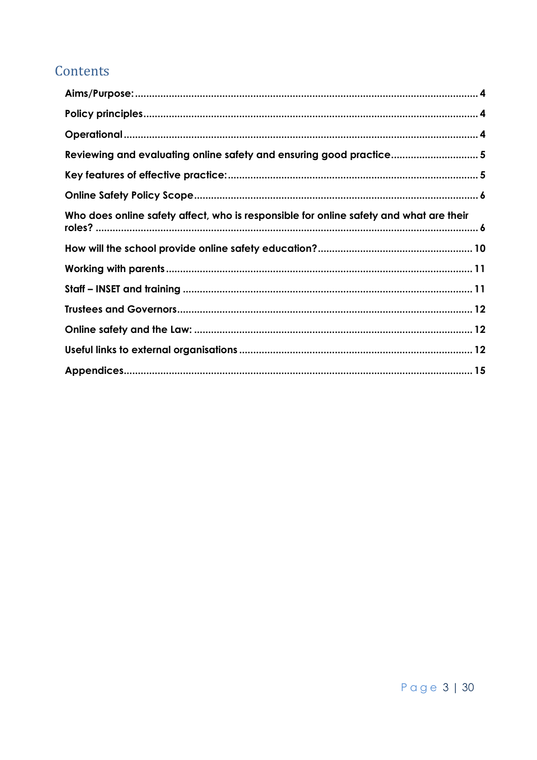# Contents

| Reviewing and evaluating online safety and ensuring good practice5                     |  |
|----------------------------------------------------------------------------------------|--|
|                                                                                        |  |
|                                                                                        |  |
| Who does online safety affect, who is responsible for online safety and what are their |  |
|                                                                                        |  |
|                                                                                        |  |
|                                                                                        |  |
|                                                                                        |  |
|                                                                                        |  |
|                                                                                        |  |
|                                                                                        |  |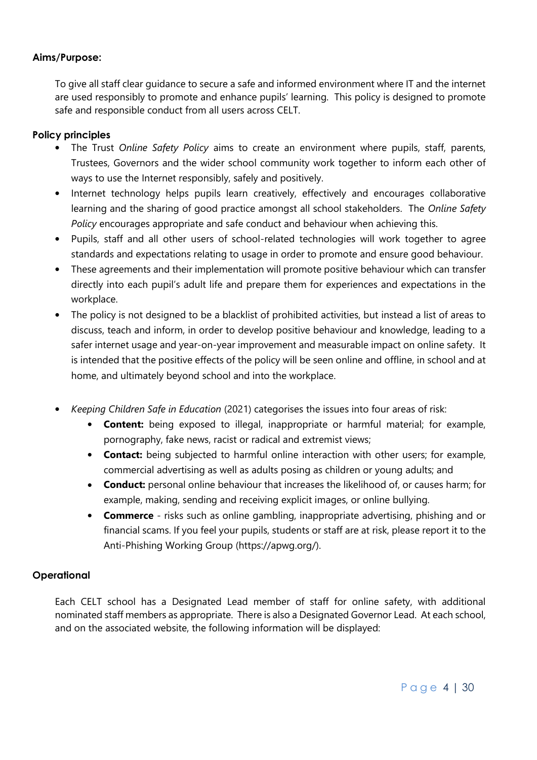#### <span id="page-3-0"></span>**Aims/Purpose:**

To give all staff clear guidance to secure a safe and informed environment where IT and the internet are used responsibly to promote and enhance pupils' learning. This policy is designed to promote safe and responsible conduct from all users across CELT.

#### <span id="page-3-1"></span>**Policy principles**

- The Trust *Online Safety Policy* aims to create an environment where pupils, staff, parents, Trustees, Governors and the wider school community work together to inform each other of ways to use the Internet responsibly, safely and positively.
- Internet technology helps pupils learn creatively, effectively and encourages collaborative learning and the sharing of good practice amongst all school stakeholders. The *Online Safety Policy* encourages appropriate and safe conduct and behaviour when achieving this.
- Pupils, staff and all other users of school-related technologies will work together to agree standards and expectations relating to usage in order to promote and ensure good behaviour.
- These agreements and their implementation will promote positive behaviour which can transfer directly into each pupil's adult life and prepare them for experiences and expectations in the workplace.
- The policy is not designed to be a blacklist of prohibited activities, but instead a list of areas to discuss, teach and inform, in order to develop positive behaviour and knowledge, leading to a safer internet usage and year-on-year improvement and measurable impact on online safety. It is intended that the positive effects of the policy will be seen online and offline, in school and at home, and ultimately beyond school and into the workplace.
- *Keeping Children Safe in Education* (2021) categorises the issues into four areas of risk:
	- **Content:** being exposed to illegal, inappropriate or harmful material; for example, pornography, fake news, racist or radical and extremist views;
	- **Contact:** being subjected to harmful online interaction with other users; for example, commercial advertising as well as adults posing as children or young adults; and
	- **Conduct:** personal online behaviour that increases the likelihood of, or causes harm; for example, making, sending and receiving explicit images, or online bullying.
	- **Commerce** risks such as online gambling, inappropriate advertising, phishing and or financial scams. If you feel your pupils, students or staff are at risk, please report it to the Anti-Phishing Working Group (https://apwg.org/).

#### <span id="page-3-2"></span>**Operational**

Each CELT school has a Designated Lead member of staff for online safety, with additional nominated staff members as appropriate. There is also a Designated Governor Lead. At each school, and on the associated website, the following information will be displayed: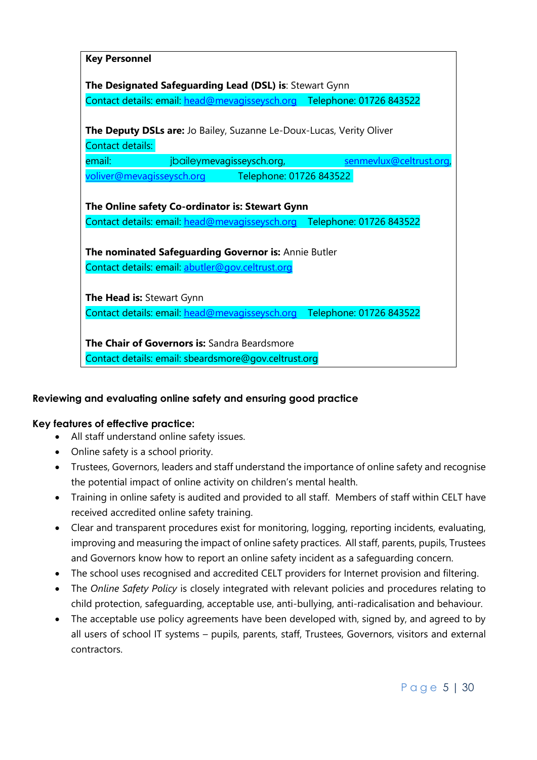| <b>Key Personnel</b>                                                                                                                                                              |
|-----------------------------------------------------------------------------------------------------------------------------------------------------------------------------------|
| The Designated Safeguarding Lead (DSL) is: Stewart Gynn                                                                                                                           |
| Contact details: email: head@mevagisseysch.org Telephone: 01726 843522                                                                                                            |
| <b>The Deputy DSLs are:</b> Jo Bailey, Suzanne Le-Doux-Lucas, Verity Oliver<br>Contact details:                                                                                   |
| senmevlux@celtrust.org,<br>jbaileymevagisseysch.org,<br>email:                                                                                                                    |
| voliver@mevagisseysch.org Telephone: 01726 843522                                                                                                                                 |
| The Online safety Co-ordinator is: Stewart Gynn<br>Contact details: email: head@mevagisseysch.org Telephone: 01726 843522<br>The nominated Safeguarding Governor is: Annie Butler |
| Contact details: email: abutler@gov.celtrust.org                                                                                                                                  |
| <b>The Head is: Stewart Gynn</b>                                                                                                                                                  |
| Contact details: email: head@mevagisseysch.org Telephone: 01726 843522                                                                                                            |
| The Chair of Governors is: Sandra Beardsmore                                                                                                                                      |
| Contact details: email: sbeardsmore@gov.celtrust.org                                                                                                                              |

#### <span id="page-4-0"></span>**Reviewing and evaluating online safety and ensuring good practice**

#### <span id="page-4-1"></span>**Key features of effective practice:**

- All staff understand online safety issues.
- Online safety is a school priority.
- Trustees, Governors, leaders and staff understand the importance of online safety and recognise the potential impact of online activity on children's mental health.
- Training in online safety is audited and provided to all staff. Members of staff within CELT have received accredited online safety training.
- Clear and transparent procedures exist for monitoring, logging, reporting incidents, evaluating, improving and measuring the impact of online safety practices. All staff, parents, pupils, Trustees and Governors know how to report an online safety incident as a safeguarding concern.
- The school uses recognised and accredited CELT providers for Internet provision and filtering.
- The *Online Safety Policy* is closely integrated with relevant policies and procedures relating to child protection, safeguarding, acceptable use, anti-bullying, anti-radicalisation and behaviour.
- The acceptable use policy agreements have been developed with, signed by, and agreed to by all users of school IT systems – pupils, parents, staff, Trustees, Governors, visitors and external contractors.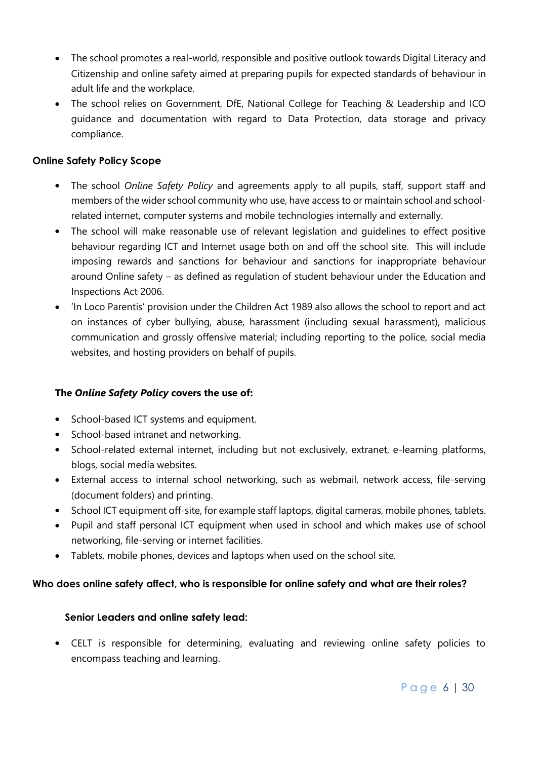- The school promotes a real-world, responsible and positive outlook towards Digital Literacy and Citizenship and online safety aimed at preparing pupils for expected standards of behaviour in adult life and the workplace.
- The school relies on Government, DfE, National College for Teaching & Leadership and ICO guidance and documentation with regard to Data Protection, data storage and privacy compliance.

# <span id="page-5-0"></span>**Online Safety Policy Scope**

- The school *Online Safety Policy* and agreements apply to all pupils, staff, support staff and members of the wider school community who use, have access to or maintain school and schoolrelated internet, computer systems and mobile technologies internally and externally.
- The school will make reasonable use of relevant legislation and guidelines to effect positive behaviour regarding ICT and Internet usage both on and off the school site. This will include imposing rewards and sanctions for behaviour and sanctions for inappropriate behaviour around Online safety – as defined as regulation of student behaviour under the Education and Inspections Act 2006.
- 'In Loco Parentis' provision under the Children Act 1989 also allows the school to report and act on instances of cyber bullying, abuse, harassment (including sexual harassment), malicious communication and grossly offensive material; including reporting to the police, social media websites, and hosting providers on behalf of pupils.

# **The** *Online Safety Policy* **covers the use of:**

- School-based ICT systems and equipment.
- School-based intranet and networking.
- School-related external internet, including but not exclusively, extranet, e-learning platforms, blogs, social media websites.
- External access to internal school networking, such as webmail, network access, file-serving (document folders) and printing.
- School ICT equipment off-site, for example staff laptops, digital cameras, mobile phones, tablets.
- Pupil and staff personal ICT equipment when used in school and which makes use of school networking, file-serving or internet facilities.
- Tablets, mobile phones, devices and laptops when used on the school site.

# <span id="page-5-1"></span>**Who does online safety affect, who is responsible for online safety and what are their roles?**

#### **Senior Leaders and online safety lead:**

 CELT is responsible for determining, evaluating and reviewing online safety policies to encompass teaching and learning.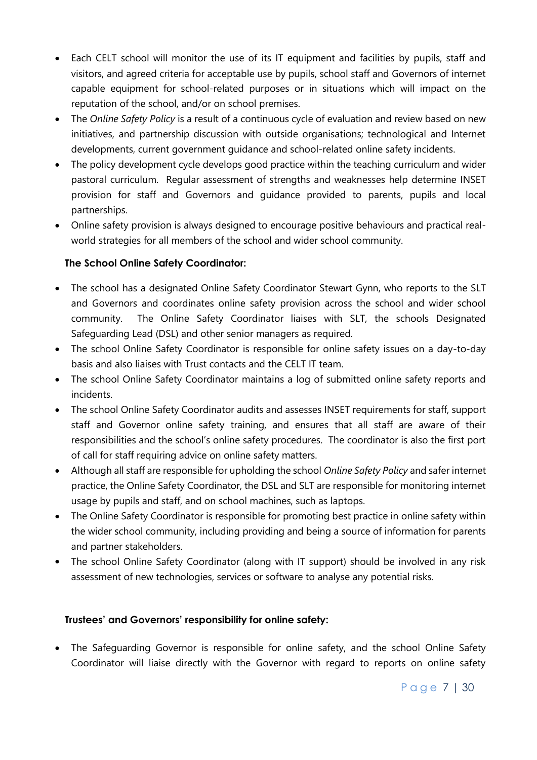- Each CELT school will monitor the use of its IT equipment and facilities by pupils, staff and visitors, and agreed criteria for acceptable use by pupils, school staff and Governors of internet capable equipment for school-related purposes or in situations which will impact on the reputation of the school, and/or on school premises.
- The *Online Safety Policy* is a result of a continuous cycle of evaluation and review based on new initiatives, and partnership discussion with outside organisations; technological and Internet developments, current government guidance and school-related online safety incidents.
- The policy development cycle develops good practice within the teaching curriculum and wider pastoral curriculum. Regular assessment of strengths and weaknesses help determine INSET provision for staff and Governors and guidance provided to parents, pupils and local partnerships.
- Online safety provision is always designed to encourage positive behaviours and practical realworld strategies for all members of the school and wider school community.

# **The School Online Safety Coordinator:**

- The school has a designated Online Safety Coordinator Stewart Gynn, who reports to the SLT and Governors and coordinates online safety provision across the school and wider school community. The Online Safety Coordinator liaises with SLT, the schools Designated Safeguarding Lead (DSL) and other senior managers as required.
- The school Online Safety Coordinator is responsible for online safety issues on a day-to-day basis and also liaises with Trust contacts and the CELT IT team.
- The school Online Safety Coordinator maintains a log of submitted online safety reports and incidents.
- The school Online Safety Coordinator audits and assesses INSET requirements for staff, support staff and Governor online safety training, and ensures that all staff are aware of their responsibilities and the school's online safety procedures. The coordinator is also the first port of call for staff requiring advice on online safety matters.
- Although all staff are responsible for upholding the school *Online Safety Policy* and safer internet practice, the Online Safety Coordinator, the DSL and SLT are responsible for monitoring internet usage by pupils and staff, and on school machines, such as laptops.
- The Online Safety Coordinator is responsible for promoting best practice in online safety within the wider school community, including providing and being a source of information for parents and partner stakeholders.
- The school Online Safety Coordinator (along with IT support) should be involved in any risk assessment of new technologies, services or software to analyse any potential risks.

#### **Trustees' and Governors' responsibility for online safety:**

• The Safequarding Governor is responsible for online safety, and the school Online Safety Coordinator will liaise directly with the Governor with regard to reports on online safety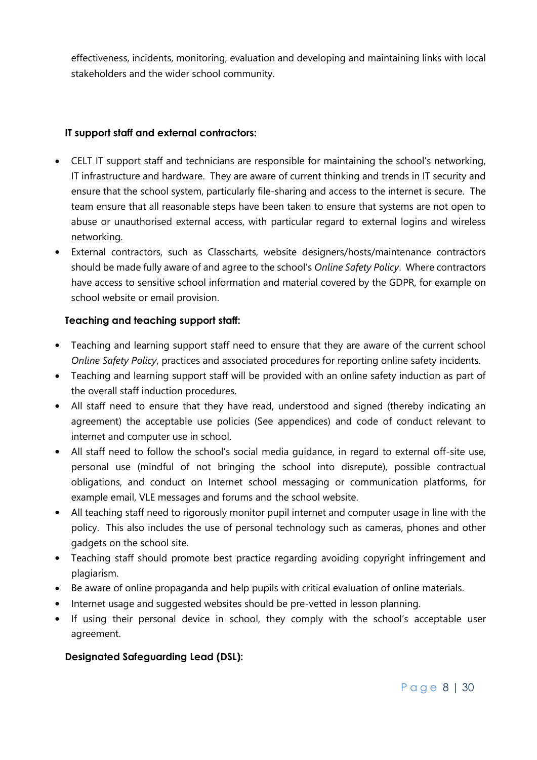effectiveness, incidents, monitoring, evaluation and developing and maintaining links with local stakeholders and the wider school community.

#### **IT support staff and external contractors:**

- CELT IT support staff and technicians are responsible for maintaining the school's networking, IT infrastructure and hardware. They are aware of current thinking and trends in IT security and ensure that the school system, particularly file-sharing and access to the internet is secure. The team ensure that all reasonable steps have been taken to ensure that systems are not open to abuse or unauthorised external access, with particular regard to external logins and wireless networking.
- External contractors, such as Classcharts, website designers/hosts/maintenance contractors should be made fully aware of and agree to the school's *Online Safety Policy*. Where contractors have access to sensitive school information and material covered by the GDPR, for example on school website or email provision.

#### **Teaching and teaching support staff:**

- Teaching and learning support staff need to ensure that they are aware of the current school *Online Safety Policy*, practices and associated procedures for reporting online safety incidents.
- Teaching and learning support staff will be provided with an online safety induction as part of the overall staff induction procedures.
- All staff need to ensure that they have read, understood and signed (thereby indicating an agreement) the acceptable use policies (See appendices) and code of conduct relevant to internet and computer use in school.
- All staff need to follow the school's social media guidance, in regard to external off-site use, personal use (mindful of not bringing the school into disrepute), possible contractual obligations, and conduct on Internet school messaging or communication platforms, for example email, VLE messages and forums and the school website.
- All teaching staff need to rigorously monitor pupil internet and computer usage in line with the policy. This also includes the use of personal technology such as cameras, phones and other gadgets on the school site.
- Teaching staff should promote best practice regarding avoiding copyright infringement and plagiarism.
- Be aware of online propaganda and help pupils with critical evaluation of online materials.
- Internet usage and suggested websites should be pre-vetted in lesson planning.
- If using their personal device in school, they comply with the school's acceptable user agreement.

#### **Designated Safeguarding Lead (DSL):**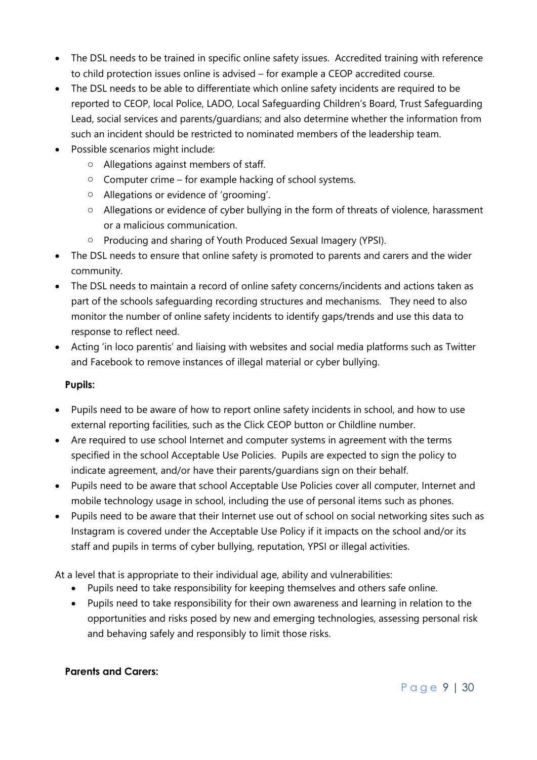- The DSL needs to be trained in specific online safety issues. Accredited training with reference to child protection issues online is advised – for example a CEOP accredited course.
- The DSL needs to be able to differentiate which online safety incidents are required to be reported to CEOP, local Police, LADO, Local Safeguarding Children's Board, Trust Safeguarding Lead, social services and parents/guardians; and also determine whether the information from such an incident should be restricted to nominated members of the leadership team.
- Possible scenarios might include:
	- o Allegations against members of staff.
	- $\circ$  Computer crime for example hacking of school systems.
	- o Allegations or evidence of 'grooming'.
	- o Allegations or evidence of cyber bullying in the form of threats of violence, harassment or a malicious communication.
	- o Producing and sharing of Youth Produced Sexual Imagery (YPSI).
- The DSL needs to ensure that online safety is promoted to parents and carers and the wider community.
- The DSL needs to maintain a record of online safety concerns/incidents and actions taken as part of the schools safeguarding recording structures and mechanisms. They need to also monitor the number of online safety incidents to identify gaps/trends and use this data to response to reflect need.
- Acting 'in loco parentis' and liaising with websites and social media platforms such as Twitter and Facebook to remove instances of illegal material or cyber bullying.

# **Pupils:**

- Pupils need to be aware of how to report online safety incidents in school, and how to use external reporting facilities, such as the Click CEOP button or Childline number.
- Are required to use school Internet and computer systems in agreement with the terms specified in the school Acceptable Use Policies. Pupils are expected to sign the policy to indicate agreement, and/or have their parents/guardians sign on their behalf.
- Pupils need to be aware that school Acceptable Use Policies cover all computer, Internet and mobile technology usage in school, including the use of personal items such as phones.
- Pupils need to be aware that their Internet use out of school on social networking sites such as Instagram is covered under the Acceptable Use Policy if it impacts on the school and/or its staff and pupils in terms of cyber bullying, reputation, YPSI or illegal activities.

At a level that is appropriate to their individual age, ability and vulnerabilities:

- Pupils need to take responsibility for keeping themselves and others safe online.
- Pupils need to take responsibility for their own awareness and learning in relation to the opportunities and risks posed by new and emerging technologies, assessing personal risk and behaving safely and responsibly to limit those risks.

# **Parents and Carers:**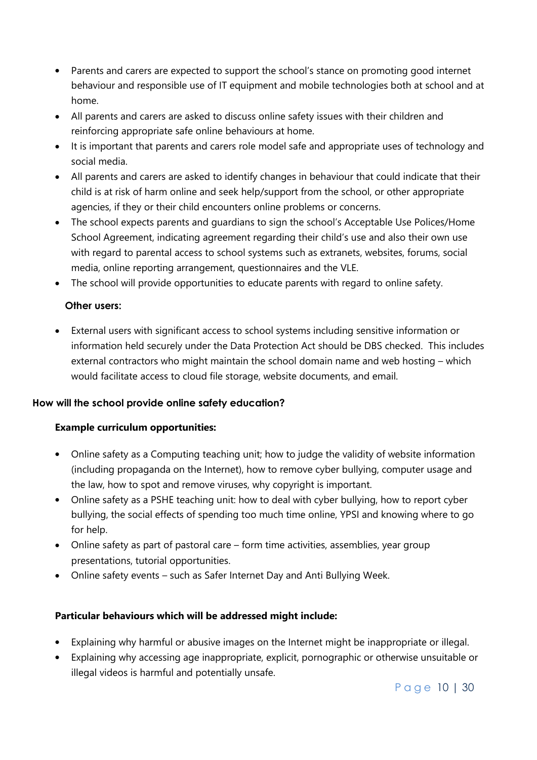- Parents and carers are expected to support the school's stance on promoting good internet behaviour and responsible use of IT equipment and mobile technologies both at school and at home.
- All parents and carers are asked to discuss online safety issues with their children and reinforcing appropriate safe online behaviours at home.
- It is important that parents and carers role model safe and appropriate uses of technology and social media.
- All parents and carers are asked to identify changes in behaviour that could indicate that their child is at risk of harm online and seek help/support from the school, or other appropriate agencies, if they or their child encounters online problems or concerns.
- The school expects parents and guardians to sign the school's Acceptable Use Polices/Home School Agreement, indicating agreement regarding their child's use and also their own use with regard to parental access to school systems such as extranets, websites, forums, social media, online reporting arrangement, questionnaires and the VLE.
- The school will provide opportunities to educate parents with regard to online safety.

# **Other users:**

 External users with significant access to school systems including sensitive information or information held securely under the Data Protection Act should be DBS checked. This includes external contractors who might maintain the school domain name and web hosting – which would facilitate access to cloud file storage, website documents, and email.

# <span id="page-9-0"></span>**How will the school provide online safety education?**

# **Example curriculum opportunities:**

- Online safety as a Computing teaching unit; how to judge the validity of website information (including propaganda on the Internet), how to remove cyber bullying, computer usage and the law, how to spot and remove viruses, why copyright is important.
- Online safety as a PSHE teaching unit: how to deal with cyber bullying, how to report cyber bullying, the social effects of spending too much time online, YPSI and knowing where to go for help.
- Online safety as part of pastoral care form time activities, assemblies, year group presentations, tutorial opportunities.
- Online safety events such as Safer Internet Day and Anti Bullying Week.

# **Particular behaviours which will be addressed might include:**

- Explaining why harmful or abusive images on the Internet might be inappropriate or illegal.
- Explaining why accessing age inappropriate, explicit, pornographic or otherwise unsuitable or illegal videos is harmful and potentially unsafe.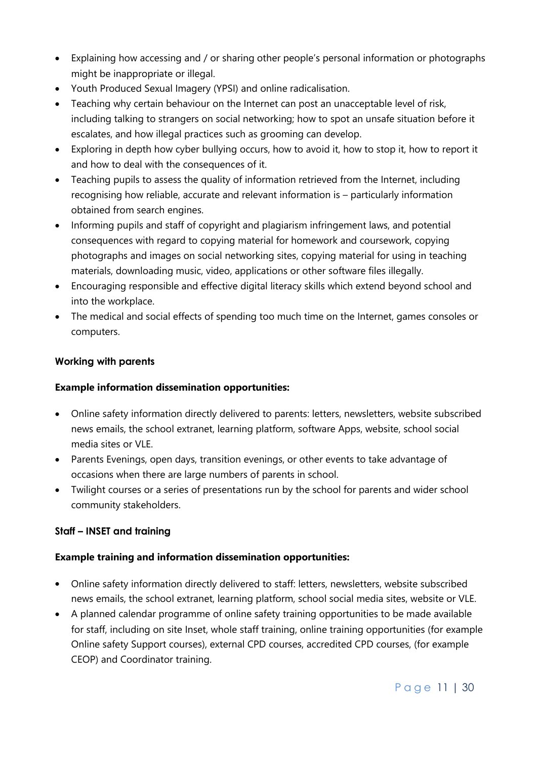- Explaining how accessing and / or sharing other people's personal information or photographs might be inappropriate or illegal.
- Youth Produced Sexual Imagery (YPSI) and online radicalisation.
- Teaching why certain behaviour on the Internet can post an unacceptable level of risk, including talking to strangers on social networking; how to spot an unsafe situation before it escalates, and how illegal practices such as grooming can develop.
- Exploring in depth how cyber bullying occurs, how to avoid it, how to stop it, how to report it and how to deal with the consequences of it.
- Teaching pupils to assess the quality of information retrieved from the Internet, including recognising how reliable, accurate and relevant information is – particularly information obtained from search engines.
- Informing pupils and staff of copyright and plagiarism infringement laws, and potential consequences with regard to copying material for homework and coursework, copying photographs and images on social networking sites, copying material for using in teaching materials, downloading music, video, applications or other software files illegally.
- Encouraging responsible and effective digital literacy skills which extend beyond school and into the workplace.
- The medical and social effects of spending too much time on the Internet, games consoles or computers.

# <span id="page-10-0"></span>**Working with parents**

#### **Example information dissemination opportunities:**

- Online safety information directly delivered to parents: letters, newsletters, website subscribed news emails, the school extranet, learning platform, software Apps, website, school social media sites or VLE.
- Parents Evenings, open days, transition evenings, or other events to take advantage of occasions when there are large numbers of parents in school.
- Twilight courses or a series of presentations run by the school for parents and wider school community stakeholders.

#### <span id="page-10-1"></span>**Staff – INSET and training**

# **Example training and information dissemination opportunities:**

- Online safety information directly delivered to staff: letters, newsletters, website subscribed news emails, the school extranet, learning platform, school social media sites, website or VLE.
- A planned calendar programme of online safety training opportunities to be made available for staff, including on site Inset, whole staff training, online training opportunities (for example Online safety Support courses), external CPD courses, accredited CPD courses, (for example CEOP) and Coordinator training.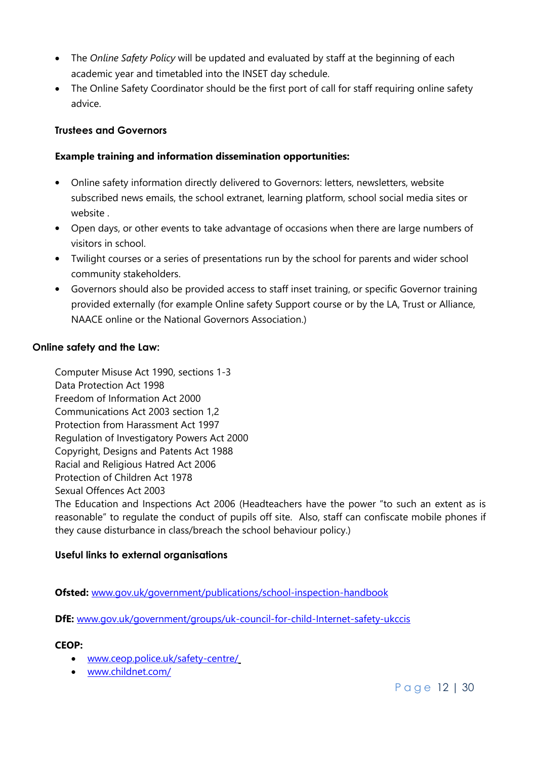- The *Online Safety Policy* will be updated and evaluated by staff at the beginning of each academic year and timetabled into the INSET day schedule.
- The Online Safety Coordinator should be the first port of call for staff requiring online safety advice.

# <span id="page-11-0"></span>**Trustees and Governors**

# **Example training and information dissemination opportunities:**

- Online safety information directly delivered to Governors: letters, newsletters, website subscribed news emails, the school extranet, learning platform, school social media sites or website .
- Open days, or other events to take advantage of occasions when there are large numbers of visitors in school.
- Twilight courses or a series of presentations run by the school for parents and wider school community stakeholders.
- Governors should also be provided access to staff inset training, or specific Governor training provided externally (for example Online safety Support course or by the LA, Trust or Alliance, NAACE online or the National Governors Association.)

#### <span id="page-11-1"></span>**Online safety and the Law:**

Computer Misuse Act 1990, sections 1-3 Data Protection Act 1998 Freedom of Information Act 2000 Communications Act 2003 section 1,2 Protection from Harassment Act 1997 Regulation of Investigatory Powers Act 2000 Copyright, Designs and Patents Act 1988 Racial and Religious Hatred Act 2006 Protection of Children Act 1978 Sexual Offences Act 2003 The Education and Inspections Act 2006 (Headteachers have the power "to such an extent as is reasonable" to regulate the conduct of pupils off site. Also, staff can confiscate mobile phones if they cause disturbance in class/breach the school behaviour policy.)

#### <span id="page-11-2"></span>**Useful links to external organisations**

**Ofsted:** [www.gov.uk/government/publications/school-inspection-handbook](http://www.gov.uk/government/publications/school-inspection-handbook)

**DfE:** [www.gov.uk/government/groups/uk-council-for-child-Internet-safety-ukccis](http://www.gov.uk/government/groups/uk-council-for-child-Internet-safety-ukccis)

#### **CEOP:**

- [www.ceop.police.uk/safety-centre/](http://www.ceop.police.uk/safety-centre/)
- [www.childnet.com/](http://www.childnet.com/)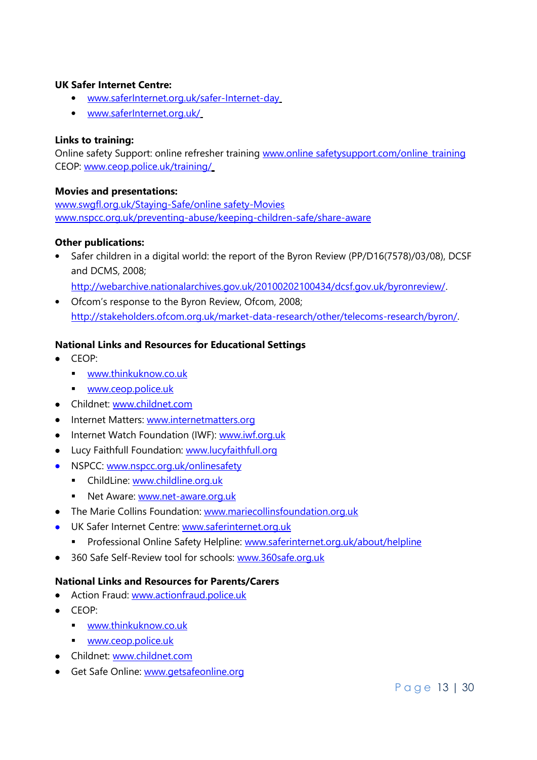#### **UK Safer Internet Centre:**

- [www.saferInternet.org.uk/safer-Internet-day](http://www.saferinternet.org.uk/safer-Internet-day)
- [www.saferInternet.org.uk/](http://www.saferinternet.org.uk/)

#### **Links to training:**

Online safety Support: online refresher training www.online safetysupport.com/online\_training CEOP: [www.ceop.police.uk/training/](http://www.ceop.police.uk/training/)

#### **Movies and presentations:**

[www.swgfl.org.uk/Staying-Safe/online safety-Movies](http://www.swgfl.org.uk/Staying-Safe/e-Safety-Movies) [www.nspcc.org.uk/preventing-abuse/keeping-children-safe/share-aware](http://www.nspcc.org.uk/preventing-abuse/keeping-children-safe/share-aware/?utm_source=google&utm_medium=cpc&utm_campaign=Grant_shareaware2014&utm_term=I_saw_your_willy_nspcc&gclid=CPSfosfS7sYCFU3LtAod7VsPSA&gclsrc=aw.ds)

#### **Other publications:**

• Safer children in a digital world: the report of the Byron Review (PP/D16(7578)/03/08), DCSF and DCMS, 2008;

[http://webarchive.nationalarchives.gov.uk/20100202100434/dcsf.gov.uk/byronreview/.](http://webarchive.nationalarchives.gov.uk/20100202100434/dcsf.gov.uk/byronreview/)

 Ofcom's response to the Byron Review, Ofcom, 2008; [http://stakeholders.ofcom.org.uk/market-data-research/other/telecoms-research/byron/.](http://stakeholders.ofcom.org.uk/market-data-research/other/telecoms-research/byron/)

#### **National Links and Resources for Educational Settings**

- CEOP:
	- [www.thinkuknow.co.uk](http://www.thinkuknow.co.uk/)
	- [www.ceop.police.uk](http://www.ceop.police.uk/)
- Childnet: [www.childnet.com](http://www.childnet.com/)
- Internet Matters: [www.internetmatters.org](http://www.internetmatters.org/)
- Internet Watch Foundation (IWF): [www.iwf.org.uk](http://www.iwf.org.uk/)
- Lucy Faithfull Foundation: [www.lucyfaithfull.org](http://www.lucyfaithfull.org/)
- NSPCC: [www.nspcc.org.uk/onlinesafety](http://www.nspcc.org.uk/onlinesafety)
	- **F** ChildLine: [www.childline.org.uk](http://www.childline.org.uk/)
	- Net Aware: [www.net-aware.org.uk](http://www.net-aware.org.uk/)
- The Marie Collins Foundation: [www.mariecollinsfoundation.org.uk](http://www.mariecollinsfoundation.org.uk/)
- UK Safer Internet Centre: [www.saferinternet.org.uk](http://www.saferinternet.org.uk/)
	- **Professional Online Safety Helpline:** [www.saferinternet.org.uk/about/helpline](http://www.saferinternet.org.uk/about/helpline)
- 360 Safe Self-Review tool for schools: [www.360safe.org.uk](http://www.360safe.org.uk/)

#### **National Links and Resources for Parents/Carers**

- Action Fraud: [www.actionfraud.police.uk](http://www.actionfraud.police.uk/)
- CEOP:
	- **[www.thinkuknow.co.uk](http://www.thinkuknow.co.uk/)**
	- [www.ceop.police.uk](http://www.ceop.police.uk/)
- Childnet: [www.childnet.com](http://www.childnet.com/)
- Get Safe Online: [www.getsafeonline.org](http://www.getsafeonline.org/)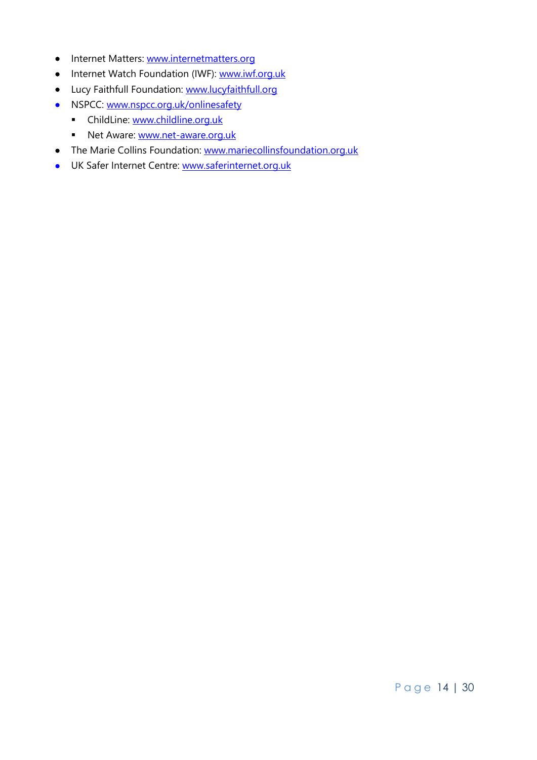- Internet Matters: [www.internetmatters.org](http://www.internetmatters.org/)
- Internet Watch Foundation (IWF): [www.iwf.org.uk](http://www.iwf.org.uk/)
- Lucy Faithfull Foundation: [www.lucyfaithfull.org](http://www.lucyfaithfull.org/)
- NSPCC: [www.nspcc.org.uk/onlinesafety](http://www.nspcc.org.uk/onlinesafety)
	- **-** ChildLine: [www.childline.org.uk](http://www.childline.org.uk/)
	- Net Aware: [www.net-aware.org.uk](http://www.net-aware.org.uk/)
- The Marie Collins Foundation: [www.mariecollinsfoundation.org.uk](http://www.mariecollinsfoundation.org.uk/)
- UK Safer Internet Centre: [www.saferinternet.org.uk](http://www.saferinternet.org.uk/)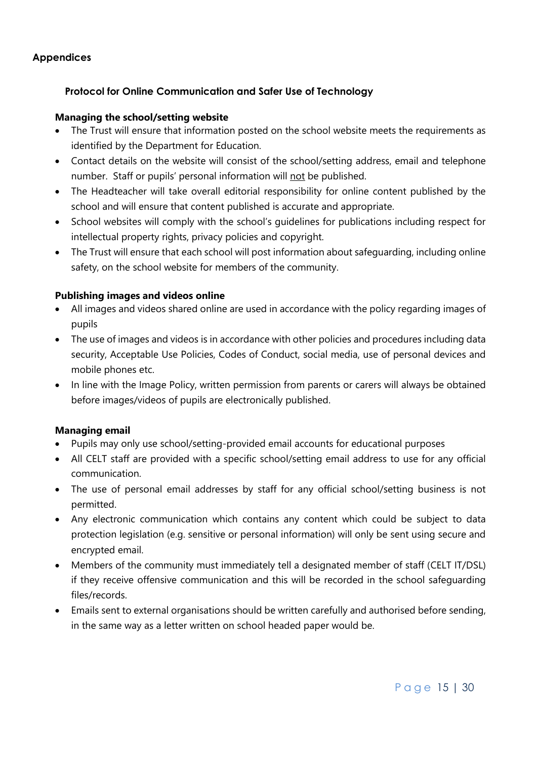# <span id="page-14-0"></span>**Appendices**

# **Protocol for Online Communication and Safer Use of Technology**

#### **Managing the school/setting website**

- The Trust will ensure that information posted on the school website meets the requirements as identified by the Department for Education.
- Contact details on the website will consist of the school/setting address, email and telephone number. Staff or pupils' personal information will not be published.
- The Headteacher will take overall editorial responsibility for online content published by the school and will ensure that content published is accurate and appropriate.
- School websites will comply with the school's guidelines for publications including respect for intellectual property rights, privacy policies and copyright.
- The Trust will ensure that each school will post information about safeguarding, including online safety, on the school website for members of the community.

#### **Publishing images and videos online**

- All images and videos shared online are used in accordance with the policy regarding images of pupils
- The use of images and videos is in accordance with other policies and procedures including data security, Acceptable Use Policies, Codes of Conduct, social media, use of personal devices and mobile phones etc.
- In line with the Image Policy, written permission from parents or carers will always be obtained before images/videos of pupils are electronically published.

#### **Managing email**

- Pupils may only use school/setting-provided email accounts for educational purposes
- All CELT staff are provided with a specific school/setting email address to use for any official communication.
- The use of personal email addresses by staff for any official school/setting business is not permitted.
- Any electronic communication which contains any content which could be subject to data protection legislation (e.g. sensitive or personal information) will only be sent using secure and encrypted email.
- Members of the community must immediately tell a designated member of staff (CELT IT/DSL) if they receive offensive communication and this will be recorded in the school safeguarding files/records.
- Emails sent to external organisations should be written carefully and authorised before sending, in the same way as a letter written on school headed paper would be.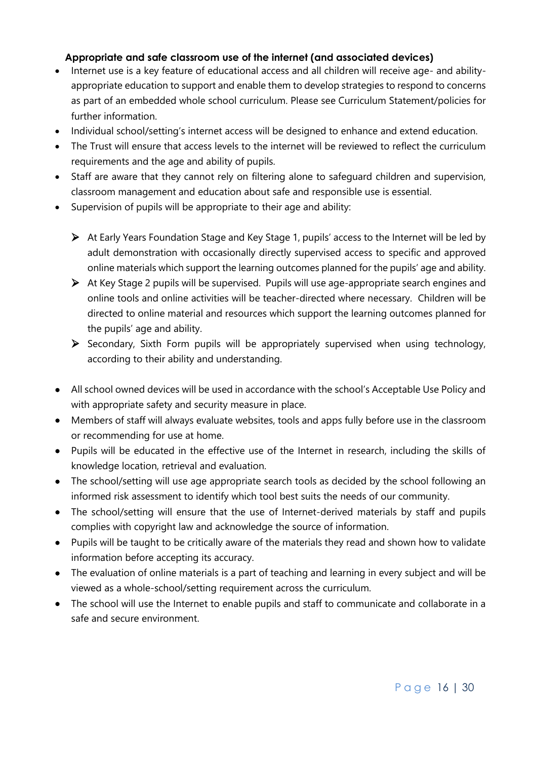# **Appropriate and safe classroom use of the internet (and associated devices)**

- Internet use is a key feature of educational access and all children will receive age- and abilityappropriate education to support and enable them to develop strategies to respond to concerns as part of an embedded whole school curriculum. Please see Curriculum Statement/policies for further information.
- Individual school/setting's internet access will be designed to enhance and extend education.
- The Trust will ensure that access levels to the internet will be reviewed to reflect the curriculum requirements and the age and ability of pupils.
- Staff are aware that they cannot rely on filtering alone to safeguard children and supervision, classroom management and education about safe and responsible use is essential.
- Supervision of pupils will be appropriate to their age and ability:
	- At Early Years Foundation Stage and Key Stage 1, pupils' access to the Internet will be led by adult demonstration with occasionally directly supervised access to specific and approved online materials which support the learning outcomes planned for the pupils' age and ability.
	- At Key Stage 2 pupils will be supervised. Pupils will use age-appropriate search engines and online tools and online activities will be teacher-directed where necessary. Children will be directed to online material and resources which support the learning outcomes planned for the pupils' age and ability.
	- $\triangleright$  Secondary, Sixth Form pupils will be appropriately supervised when using technology, according to their ability and understanding.
- All school owned devices will be used in accordance with the school's Acceptable Use Policy and with appropriate safety and security measure in place.
- Members of staff will always evaluate websites, tools and apps fully before use in the classroom or recommending for use at home.
- Pupils will be educated in the effective use of the Internet in research, including the skills of knowledge location, retrieval and evaluation.
- The school/setting will use age appropriate search tools as decided by the school following an informed risk assessment to identify which tool best suits the needs of our community.
- The school/setting will ensure that the use of Internet-derived materials by staff and pupils complies with copyright law and acknowledge the source of information.
- Pupils will be taught to be critically aware of the materials they read and shown how to validate information before accepting its accuracy.
- The evaluation of online materials is a part of teaching and learning in every subject and will be viewed as a whole-school/setting requirement across the curriculum.
- The school will use the Internet to enable pupils and staff to communicate and collaborate in a safe and secure environment.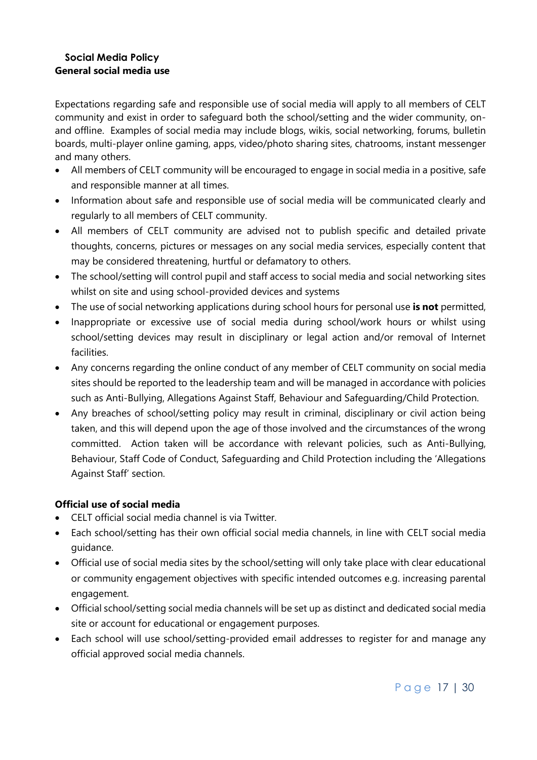#### **Social Media Policy General social media use**

Expectations regarding safe and responsible use of social media will apply to all members of CELT community and exist in order to safeguard both the school/setting and the wider community, onand offline. Examples of social media may include blogs, wikis, social networking, forums, bulletin boards, multi-player online gaming, apps, video/photo sharing sites, chatrooms, instant messenger and many others.

- All members of CELT community will be encouraged to engage in social media in a positive, safe and responsible manner at all times.
- Information about safe and responsible use of social media will be communicated clearly and regularly to all members of CELT community.
- All members of CELT community are advised not to publish specific and detailed private thoughts, concerns, pictures or messages on any social media services, especially content that may be considered threatening, hurtful or defamatory to others.
- The school/setting will control pupil and staff access to social media and social networking sites whilst on site and using school-provided devices and systems
- The use of social networking applications during school hours for personal use **is not** permitted,
- Inappropriate or excessive use of social media during school/work hours or whilst using school/setting devices may result in disciplinary or legal action and/or removal of Internet facilities.
- Any concerns regarding the online conduct of any member of CELT community on social media sites should be reported to the leadership team and will be managed in accordance with policies such as Anti-Bullying, Allegations Against Staff, Behaviour and Safeguarding/Child Protection.
- Any breaches of school/setting policy may result in criminal, disciplinary or civil action being taken, and this will depend upon the age of those involved and the circumstances of the wrong committed. Action taken will be accordance with relevant policies, such as Anti-Bullying, Behaviour, Staff Code of Conduct, Safeguarding and Child Protection including the 'Allegations Against Staff' section.

# **Official use of social media**

- CELT official social media channel is via Twitter.
- Each school/setting has their own official social media channels, in line with CELT social media guidance.
- Official use of social media sites by the school/setting will only take place with clear educational or community engagement objectives with specific intended outcomes e.g. increasing parental engagement.
- Official school/setting social media channels will be set up as distinct and dedicated social media site or account for educational or engagement purposes.
- Each school will use school/setting-provided email addresses to register for and manage any official approved social media channels.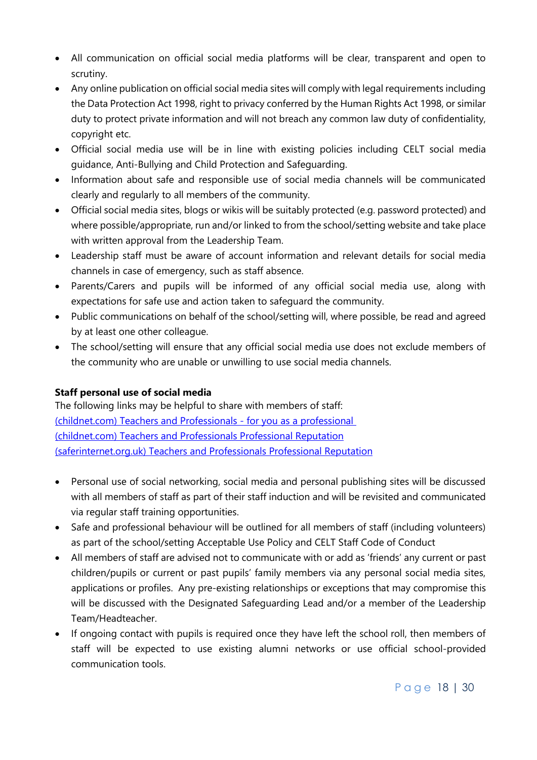- All communication on official social media platforms will be clear, transparent and open to scrutiny.
- Any online publication on official social media sites will comply with legal requirements including the Data Protection Act 1998, right to privacy conferred by the Human Rights Act 1998, or similar duty to protect private information and will not breach any common law duty of confidentiality, copyright etc.
- Official social media use will be in line with existing policies including CELT social media guidance, Anti-Bullying and Child Protection and Safeguarding.
- Information about safe and responsible use of social media channels will be communicated clearly and regularly to all members of the community.
- Official social media sites, blogs or wikis will be suitably protected (e.g. password protected) and where possible/appropriate, run and/or linked to from the school/setting website and take place with written approval from the Leadership Team.
- Leadership staff must be aware of account information and relevant details for social media channels in case of emergency, such as staff absence.
- Parents/Carers and pupils will be informed of any official social media use, along with expectations for safe use and action taken to safeguard the community.
- Public communications on behalf of the school/setting will, where possible, be read and agreed by at least one other colleague.
- The school/setting will ensure that any official social media use does not exclude members of the community who are unable or unwilling to use social media channels.

# **Staff personal use of social media**

The following links may be helpful to share with members of staff: [\(childnet.com\) Teachers and Professionals -](http://www.childnet.com/teachers-and-professionals/for-you-as-a-professional) for you as a professional [\(childnet.com\) Teachers and Professionals Professional Reputation](http://www.childnet.com/teachers-and-professionals/for-you-as-a-professional/professional-reputation) [\(saferinternet.org.uk\) Teachers and Professionals Professional Reputation](http://www.saferinternet.org.uk/advice-centre/teachers-and-professionals/professional-reputation)

- Personal use of social networking, social media and personal publishing sites will be discussed with all members of staff as part of their staff induction and will be revisited and communicated via regular staff training opportunities.
- Safe and professional behaviour will be outlined for all members of staff (including volunteers) as part of the school/setting Acceptable Use Policy and CELT Staff Code of Conduct
- All members of staff are advised not to communicate with or add as 'friends' any current or past children/pupils or current or past pupils' family members via any personal social media sites, applications or profiles. Any pre-existing relationships or exceptions that may compromise this will be discussed with the Designated Safeguarding Lead and/or a member of the Leadership Team/Headteacher.
- If ongoing contact with pupils is required once they have left the school roll, then members of staff will be expected to use existing alumni networks or use official school-provided communication tools.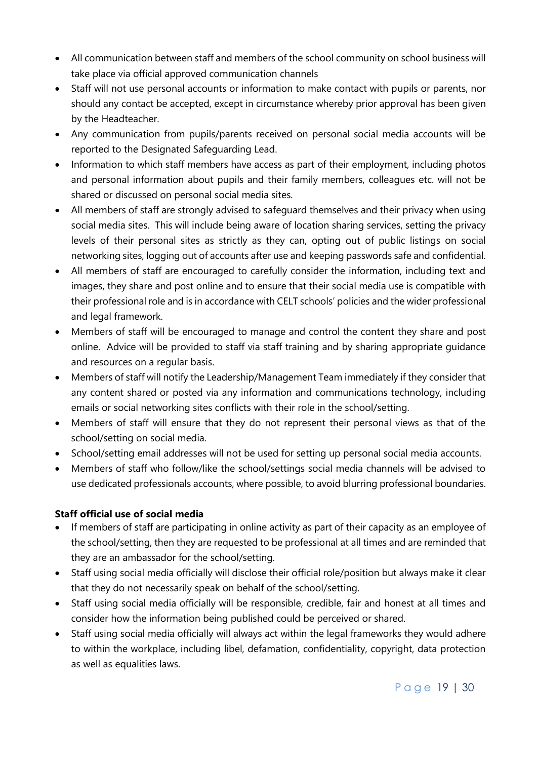- All communication between staff and members of the school community on school business will take place via official approved communication channels
- Staff will not use personal accounts or information to make contact with pupils or parents, nor should any contact be accepted, except in circumstance whereby prior approval has been given by the Headteacher.
- Any communication from pupils/parents received on personal social media accounts will be reported to the Designated Safeguarding Lead.
- Information to which staff members have access as part of their employment, including photos and personal information about pupils and their family members, colleagues etc. will not be shared or discussed on personal social media sites.
- All members of staff are strongly advised to safeguard themselves and their privacy when using social media sites. This will include being aware of location sharing services, setting the privacy levels of their personal sites as strictly as they can, opting out of public listings on social networking sites, logging out of accounts after use and keeping passwords safe and confidential.
- All members of staff are encouraged to carefully consider the information, including text and images, they share and post online and to ensure that their social media use is compatible with their professional role and is in accordance with CELT schools' policies and the wider professional and legal framework.
- Members of staff will be encouraged to manage and control the content they share and post online. Advice will be provided to staff via staff training and by sharing appropriate guidance and resources on a regular basis.
- Members of staff will notify the Leadership/Management Team immediately if they consider that any content shared or posted via any information and communications technology, including emails or social networking sites conflicts with their role in the school/setting.
- Members of staff will ensure that they do not represent their personal views as that of the school/setting on social media.
- School/setting email addresses will not be used for setting up personal social media accounts.
- Members of staff who follow/like the school/settings social media channels will be advised to use dedicated professionals accounts, where possible, to avoid blurring professional boundaries.

# **Staff official use of social media**

- If members of staff are participating in online activity as part of their capacity as an employee of the school/setting, then they are requested to be professional at all times and are reminded that they are an ambassador for the school/setting.
- Staff using social media officially will disclose their official role/position but always make it clear that they do not necessarily speak on behalf of the school/setting.
- Staff using social media officially will be responsible, credible, fair and honest at all times and consider how the information being published could be perceived or shared.
- Staff using social media officially will always act within the legal frameworks they would adhere to within the workplace, including libel, defamation, confidentiality, copyright, data protection as well as equalities laws.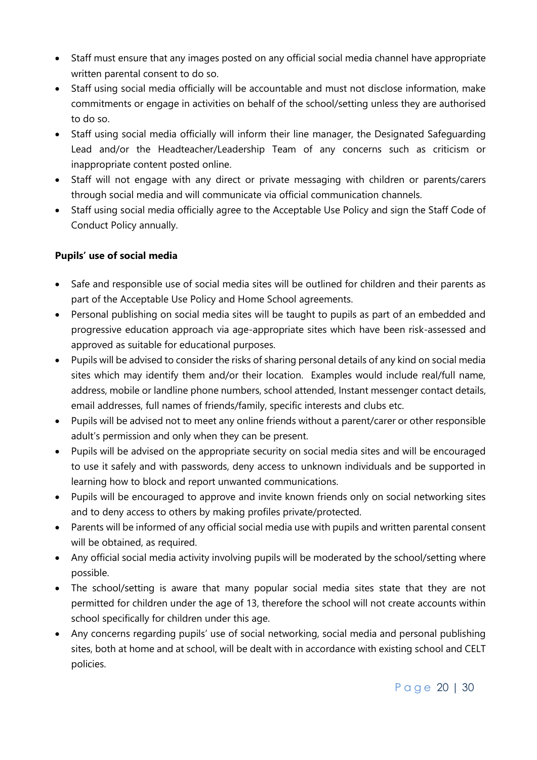- Staff must ensure that any images posted on any official social media channel have appropriate written parental consent to do so.
- Staff using social media officially will be accountable and must not disclose information, make commitments or engage in activities on behalf of the school/setting unless they are authorised to do so.
- Staff using social media officially will inform their line manager, the Designated Safeguarding Lead and/or the Headteacher/Leadership Team of any concerns such as criticism or inappropriate content posted online.
- Staff will not engage with any direct or private messaging with children or parents/carers through social media and will communicate via official communication channels.
- Staff using social media officially agree to the Acceptable Use Policy and sign the Staff Code of Conduct Policy annually.

# **Pupils' use of social media**

- Safe and responsible use of social media sites will be outlined for children and their parents as part of the Acceptable Use Policy and Home School agreements.
- Personal publishing on social media sites will be taught to pupils as part of an embedded and progressive education approach via age-appropriate sites which have been risk-assessed and approved as suitable for educational purposes.
- Pupils will be advised to consider the risks of sharing personal details of any kind on social media sites which may identify them and/or their location. Examples would include real/full name, address, mobile or landline phone numbers, school attended, Instant messenger contact details, email addresses, full names of friends/family, specific interests and clubs etc.
- Pupils will be advised not to meet any online friends without a parent/carer or other responsible adult's permission and only when they can be present.
- Pupils will be advised on the appropriate security on social media sites and will be encouraged to use it safely and with passwords, deny access to unknown individuals and be supported in learning how to block and report unwanted communications.
- Pupils will be encouraged to approve and invite known friends only on social networking sites and to deny access to others by making profiles private/protected.
- Parents will be informed of any official social media use with pupils and written parental consent will be obtained, as required.
- Any official social media activity involving pupils will be moderated by the school/setting where possible.
- The school/setting is aware that many popular social media sites state that they are not permitted for children under the age of 13, therefore the school will not create accounts within school specifically for children under this age.
- Any concerns regarding pupils' use of social networking, social media and personal publishing sites, both at home and at school, will be dealt with in accordance with existing school and CELT policies.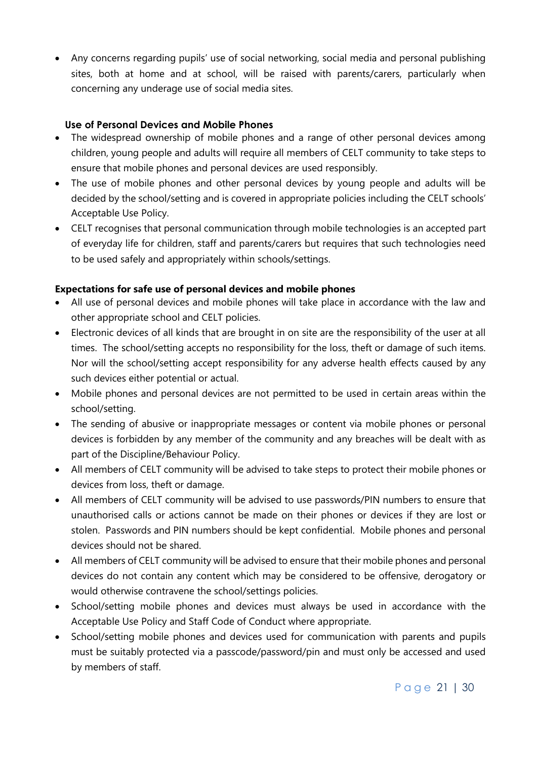Any concerns regarding pupils' use of social networking, social media and personal publishing sites, both at home and at school, will be raised with parents/carers, particularly when concerning any underage use of social media sites.

# **Use of Personal Devices and Mobile Phones**

- The widespread ownership of mobile phones and a range of other personal devices among children, young people and adults will require all members of CELT community to take steps to ensure that mobile phones and personal devices are used responsibly.
- The use of mobile phones and other personal devices by young people and adults will be decided by the school/setting and is covered in appropriate policies including the CELT schools' Acceptable Use Policy.
- CELT recognises that personal communication through mobile technologies is an accepted part of everyday life for children, staff and parents/carers but requires that such technologies need to be used safely and appropriately within schools/settings.

# **Expectations for safe use of personal devices and mobile phones**

- All use of personal devices and mobile phones will take place in accordance with the law and other appropriate school and CELT policies.
- Electronic devices of all kinds that are brought in on site are the responsibility of the user at all times. The school/setting accepts no responsibility for the loss, theft or damage of such items. Nor will the school/setting accept responsibility for any adverse health effects caused by any such devices either potential or actual.
- Mobile phones and personal devices are not permitted to be used in certain areas within the school/setting.
- The sending of abusive or inappropriate messages or content via mobile phones or personal devices is forbidden by any member of the community and any breaches will be dealt with as part of the Discipline/Behaviour Policy.
- All members of CELT community will be advised to take steps to protect their mobile phones or devices from loss, theft or damage.
- All members of CELT community will be advised to use passwords/PIN numbers to ensure that unauthorised calls or actions cannot be made on their phones or devices if they are lost or stolen. Passwords and PIN numbers should be kept confidential. Mobile phones and personal devices should not be shared.
- All members of CELT community will be advised to ensure that their mobile phones and personal devices do not contain any content which may be considered to be offensive, derogatory or would otherwise contravene the school/settings policies.
- School/setting mobile phones and devices must always be used in accordance with the Acceptable Use Policy and Staff Code of Conduct where appropriate.
- School/setting mobile phones and devices used for communication with parents and pupils must be suitably protected via a passcode/password/pin and must only be accessed and used by members of staff.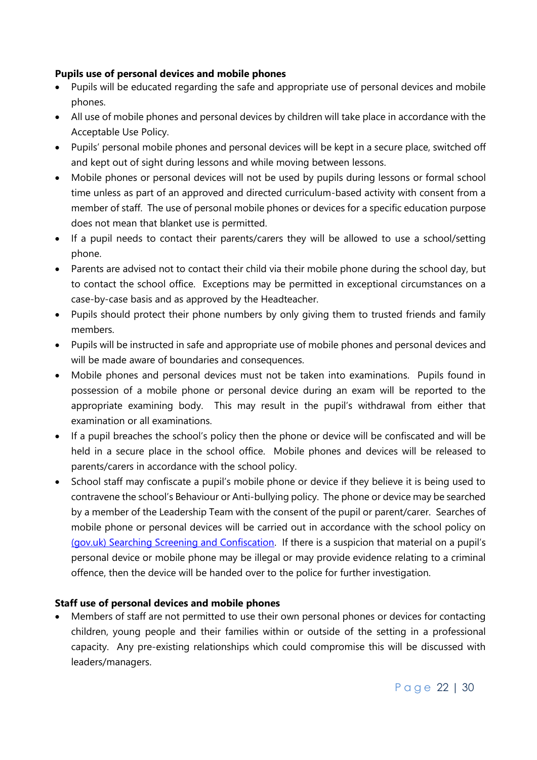#### **Pupils use of personal devices and mobile phones**

- Pupils will be educated regarding the safe and appropriate use of personal devices and mobile phones.
- All use of mobile phones and personal devices by children will take place in accordance with the Acceptable Use Policy.
- Pupils' personal mobile phones and personal devices will be kept in a secure place, switched off and kept out of sight during lessons and while moving between lessons.
- Mobile phones or personal devices will not be used by pupils during lessons or formal school time unless as part of an approved and directed curriculum-based activity with consent from a member of staff. The use of personal mobile phones or devices for a specific education purpose does not mean that blanket use is permitted.
- If a pupil needs to contact their parents/carers they will be allowed to use a school/setting phone.
- Parents are advised not to contact their child via their mobile phone during the school day, but to contact the school office. Exceptions may be permitted in exceptional circumstances on a case-by-case basis and as approved by the Headteacher.
- Pupils should protect their phone numbers by only giving them to trusted friends and family members.
- Pupils will be instructed in safe and appropriate use of mobile phones and personal devices and will be made aware of boundaries and consequences.
- Mobile phones and personal devices must not be taken into examinations. Pupils found in possession of a mobile phone or personal device during an exam will be reported to the appropriate examining body. This may result in the pupil's withdrawal from either that examination or all examinations.
- If a pupil breaches the school's policy then the phone or device will be confiscated and will be held in a secure place in the school office. Mobile phones and devices will be released to parents/carers in accordance with the school policy.
- School staff may confiscate a pupil's mobile phone or device if they believe it is being used to contravene the school's Behaviour or Anti-bullying policy. The phone or device may be searched by a member of the Leadership Team with the consent of the pupil or parent/carer. Searches of mobile phone or personal devices will be carried out in accordance with the school policy on [\(gov.uk\) Searching Screening and Confiscation](https://www.gov.uk/government/publications/searching-screening-and-confiscation). If there is a suspicion that material on a pupil's personal device or mobile phone may be illegal or may provide evidence relating to a criminal offence, then the device will be handed over to the police for further investigation.

# **Staff use of personal devices and mobile phones**

 Members of staff are not permitted to use their own personal phones or devices for contacting children, young people and their families within or outside of the setting in a professional capacity. Any pre-existing relationships which could compromise this will be discussed with leaders/managers.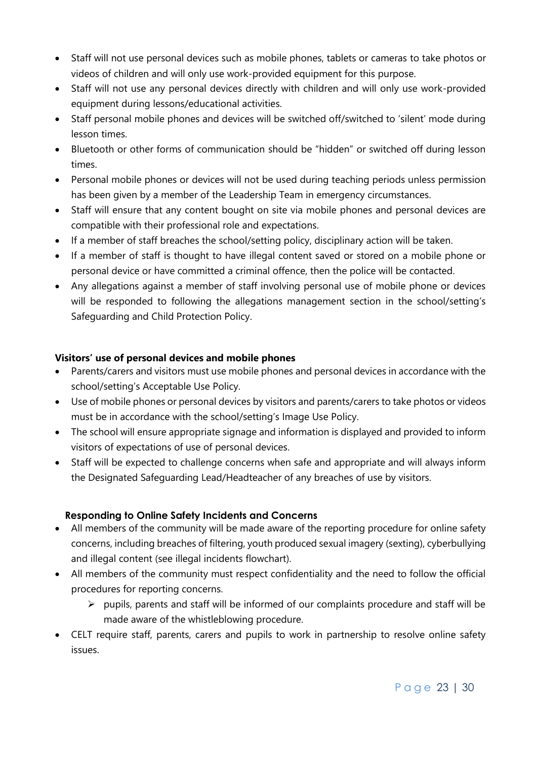- Staff will not use personal devices such as mobile phones, tablets or cameras to take photos or videos of children and will only use work-provided equipment for this purpose.
- Staff will not use any personal devices directly with children and will only use work-provided equipment during lessons/educational activities.
- Staff personal mobile phones and devices will be switched off/switched to 'silent' mode during lesson times.
- Bluetooth or other forms of communication should be "hidden" or switched off during lesson times.
- Personal mobile phones or devices will not be used during teaching periods unless permission has been given by a member of the Leadership Team in emergency circumstances.
- Staff will ensure that any content bought on site via mobile phones and personal devices are compatible with their professional role and expectations.
- If a member of staff breaches the school/setting policy, disciplinary action will be taken.
- If a member of staff is thought to have illegal content saved or stored on a mobile phone or personal device or have committed a criminal offence, then the police will be contacted.
- Any allegations against a member of staff involving personal use of mobile phone or devices will be responded to following the allegations management section in the school/setting's Safeguarding and Child Protection Policy.

# **Visitors' use of personal devices and mobile phones**

- Parents/carers and visitors must use mobile phones and personal devices in accordance with the school/setting's Acceptable Use Policy.
- Use of mobile phones or personal devices by visitors and parents/carers to take photos or videos must be in accordance with the school/setting's Image Use Policy.
- The school will ensure appropriate signage and information is displayed and provided to inform visitors of expectations of use of personal devices.
- Staff will be expected to challenge concerns when safe and appropriate and will always inform the Designated Safeguarding Lead/Headteacher of any breaches of use by visitors.

# **Responding to Online Safety Incidents and Concerns**

- All members of the community will be made aware of the reporting procedure for online safety concerns, including breaches of filtering, youth produced sexual imagery (sexting), cyberbullying and illegal content (see illegal incidents flowchart).
- All members of the community must respect confidentiality and the need to follow the official procedures for reporting concerns.
	- $\triangleright$  pupils, parents and staff will be informed of our complaints procedure and staff will be made aware of the whistleblowing procedure.
- CELT require staff, parents, carers and pupils to work in partnership to resolve online safety issues.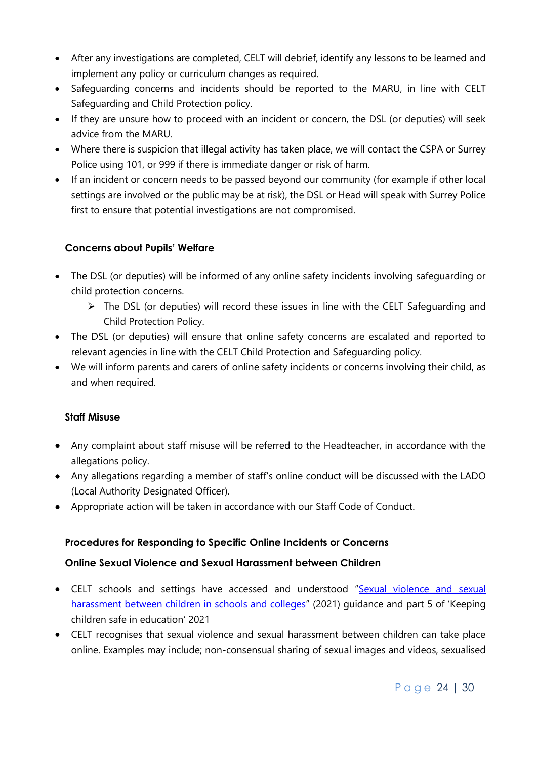- After any investigations are completed, CELT will debrief, identify any lessons to be learned and implement any policy or curriculum changes as required.
- Safeguarding concerns and incidents should be reported to the MARU, in line with CELT Safeguarding and Child Protection policy.
- If they are unsure how to proceed with an incident or concern, the DSL (or deputies) will seek advice from the MARU.
- Where there is suspicion that illegal activity has taken place, we will contact the CSPA or Surrey Police using 101, or 999 if there is immediate danger or risk of harm.
- If an incident or concern needs to be passed beyond our community (for example if other local settings are involved or the public may be at risk), the DSL or Head will speak with Surrey Police first to ensure that potential investigations are not compromised.

# **Concerns about Pupils' Welfare**

- The DSL (or deputies) will be informed of any online safety incidents involving safeguarding or child protection concerns.
	- $\triangleright$  The DSL (or deputies) will record these issues in line with the CELT Safeguarding and Child Protection Policy.
- The DSL (or deputies) will ensure that online safety concerns are escalated and reported to relevant agencies in line with the CELT Child Protection and Safeguarding policy.
- We will inform parents and carers of online safety incidents or concerns involving their child, as and when required.

# **Staff Misuse**

- Any complaint about staff misuse will be referred to the Headteacher, in accordance with the allegations policy.
- Any allegations regarding a member of staff's online conduct will be discussed with the LADO (Local Authority Designated Officer).
- Appropriate action will be taken in accordance with our Staff Code of Conduct.

# **Procedures for Responding to Specific Online Incidents or Concerns**

# **Online Sexual Violence and Sexual Harassment between Children**

- CELT schools and settings have accessed and understood "[Sexual violence and sexual](https://www.gov.uk/government/publications/sexual-violence-and-sexual-harassment-between-children-in-schools-and-colleges)  [harassment between children in schools and colleges](https://www.gov.uk/government/publications/sexual-violence-and-sexual-harassment-between-children-in-schools-and-colleges)" (2021) guidance and part 5 of 'Keeping children safe in education' 2021
- CELT recognises that sexual violence and sexual harassment between children can take place online. Examples may include; non-consensual sharing of sexual images and videos, sexualised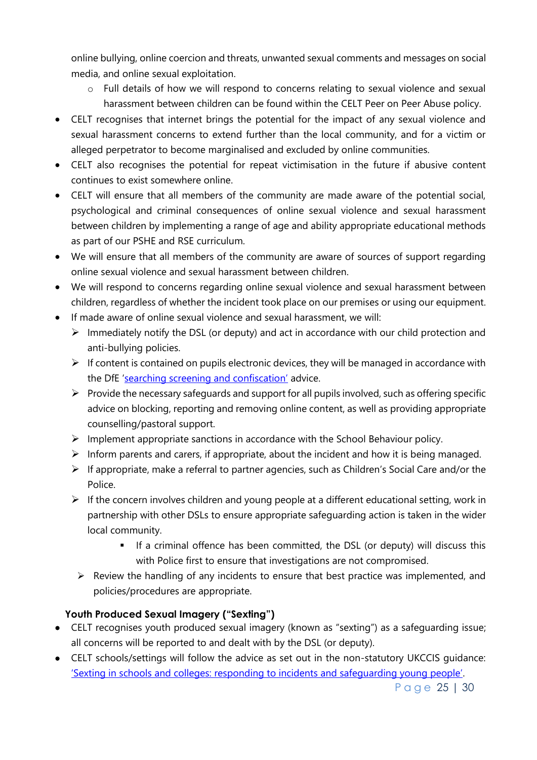online bullying, online coercion and threats, unwanted sexual comments and messages on social media, and online sexual exploitation.

- o Full details of how we will respond to concerns relating to sexual violence and sexual harassment between children can be found within the CELT Peer on Peer Abuse policy.
- CELT recognises that internet brings the potential for the impact of any sexual violence and sexual harassment concerns to extend further than the local community, and for a victim or alleged perpetrator to become marginalised and excluded by online communities.
- CELT also recognises the potential for repeat victimisation in the future if abusive content continues to exist somewhere online.
- CELT will ensure that all members of the community are made aware of the potential social, psychological and criminal consequences of online sexual violence and sexual harassment between children by implementing a range of age and ability appropriate educational methods as part of our PSHE and RSE curriculum.
- We will ensure that all members of the community are aware of sources of support regarding online sexual violence and sexual harassment between children.
- We will respond to concerns regarding online sexual violence and sexual harassment between children, regardless of whether the incident took place on our premises or using our equipment.
- If made aware of online sexual violence and sexual harassment, we will:
	- $\triangleright$  Immediately notify the DSL (or deputy) and act in accordance with our child protection and anti-bullying policies.
	- $\triangleright$  If content is contained on pupils electronic devices, they will be managed in accordance with the DfE ['searching screening and confiscation'](https://www.gov.uk/government/publications/searching-screening-and-confiscation) advice.
	- $\triangleright$  Provide the necessary safeguards and support for all pupils involved, such as offering specific advice on blocking, reporting and removing online content, as well as providing appropriate counselling/pastoral support.
	- $\triangleright$  Implement appropriate sanctions in accordance with the School Behaviour policy.
	- $\triangleright$  Inform parents and carers, if appropriate, about the incident and how it is being managed.
	- $\triangleright$  If appropriate, make a referral to partner agencies, such as Children's Social Care and/or the Police.
	- $\triangleright$  If the concern involves children and young people at a different educational setting, work in partnership with other DSLs to ensure appropriate safeguarding action is taken in the wider local community.
		- If a criminal offence has been committed, the DSL (or deputy) will discuss this with Police first to ensure that investigations are not compromised.
		- $\triangleright$  Review the handling of any incidents to ensure that best practice was implemented, and policies/procedures are appropriate.

# **Youth Produced Sexual Imagery ("Sexting")**

- CELT recognises youth produced sexual imagery (known as "sexting") as a safeguarding issue; all concerns will be reported to and dealt with by the DSL (or deputy).
- CELT schools/settings will follow the advice as set out in the non-statutory UKCCIS guidance: ['Sexting in schools and colleges: responding to incidents and safeguarding young people'](https://www.gov.uk/government/groups/uk-council-for-child-internet-safety-ukccis).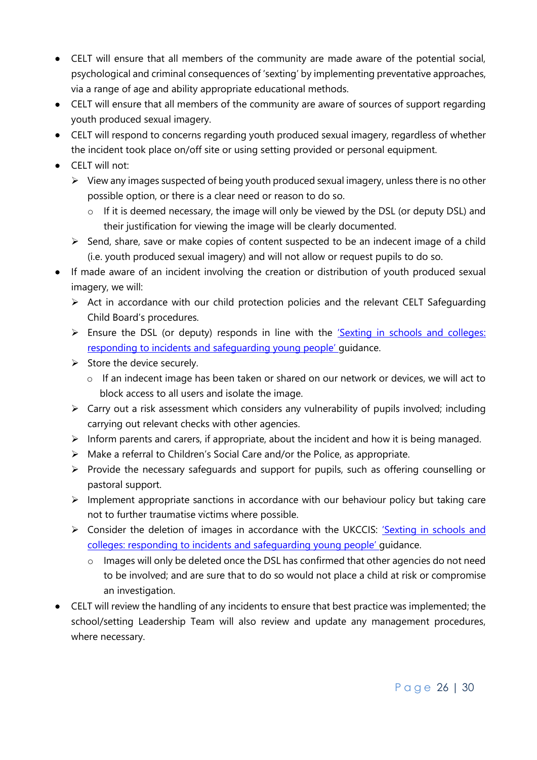- CELT will ensure that all members of the community are made aware of the potential social, psychological and criminal consequences of 'sexting' by implementing preventative approaches, via a range of age and ability appropriate educational methods.
- CELT will ensure that all members of the community are aware of sources of support regarding youth produced sexual imagery.
- CELT will respond to concerns regarding youth produced sexual imagery, regardless of whether the incident took place on/off site or using setting provided or personal equipment.
- CELT will not:
	- $\triangleright$  View any images suspected of being youth produced sexual imagery, unless there is no other possible option, or there is a clear need or reason to do so.
		- $\circ$  If it is deemed necessary, the image will only be viewed by the DSL (or deputy DSL) and their justification for viewing the image will be clearly documented.
	- $\triangleright$  Send, share, save or make copies of content suspected to be an indecent image of a child (i.e. youth produced sexual imagery) and will not allow or request pupils to do so.
- If made aware of an incident involving the creation or distribution of youth produced sexual imagery, we will:
	- $\triangleright$  Act in accordance with our child protection policies and the relevant CELT Safeguarding Child Board's procedures.
	- Ensure the DSL (or deputy) responds in line with the 'Sexting in schools and colleges: [responding to incidents and safeguarding young people'](https://www.gov.uk/government/groups/uk-council-for-child-internet-safety-ukccis) guidance.
	- $\triangleright$  Store the device securely.
		- o If an indecent image has been taken or shared on our network or devices, we will act to block access to all users and isolate the image.
	- $\triangleright$  Carry out a risk assessment which considers any vulnerability of pupils involved; including carrying out relevant checks with other agencies.
	- $\triangleright$  Inform parents and carers, if appropriate, about the incident and how it is being managed.
	- Make a referral to Children's Social Care and/or the Police, as appropriate.
	- $\triangleright$  Provide the necessary safeguards and support for pupils, such as offering counselling or pastoral support.
	- $\triangleright$  Implement appropriate sanctions in accordance with our behaviour policy but taking care not to further traumatise victims where possible.
	- S Consider the deletion of images in accordance with the UKCCIS: 'Sexting in schools and [colleges: responding to incidents and safeguarding young people'](https://www.gov.uk/government/groups/uk-council-for-child-internet-safety-ukccis) guidance.
		- o Images will only be deleted once the DSL has confirmed that other agencies do not need to be involved; and are sure that to do so would not place a child at risk or compromise an investigation.
- CELT will review the handling of any incidents to ensure that best practice was implemented; the school/setting Leadership Team will also review and update any management procedures, where necessary.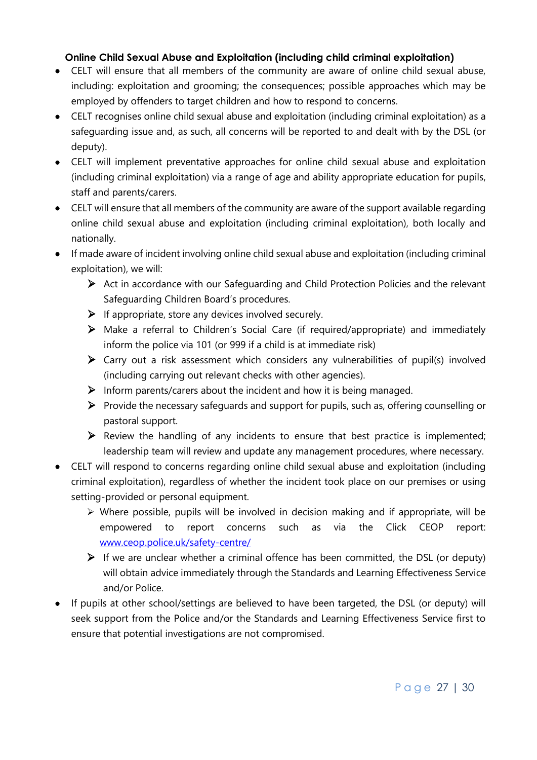# **Online Child Sexual Abuse and Exploitation (including child criminal exploitation)**

- CELT will ensure that all members of the community are aware of online child sexual abuse, including: exploitation and grooming; the consequences; possible approaches which may be employed by offenders to target children and how to respond to concerns.
- CELT recognises online child sexual abuse and exploitation (including criminal exploitation) as a safeguarding issue and, as such, all concerns will be reported to and dealt with by the DSL (or deputy).
- CELT will implement preventative approaches for online child sexual abuse and exploitation (including criminal exploitation) via a range of age and ability appropriate education for pupils, staff and parents/carers.
- CELT will ensure that all members of the community are aware of the support available regarding online child sexual abuse and exploitation (including criminal exploitation), both locally and nationally.
- If made aware of incident involving online child sexual abuse and exploitation (including criminal exploitation), we will:
	- $\triangleright$  Act in accordance with our Safeguarding and Child Protection Policies and the relevant Safeguarding Children Board's procedures.
	- $\triangleright$  If appropriate, store any devices involved securely.
	- Make a referral to Children's Social Care (if required/appropriate) and immediately inform the police via 101 (or 999 if a child is at immediate risk)
	- $\triangleright$  Carry out a risk assessment which considers any vulnerabilities of pupil(s) involved (including carrying out relevant checks with other agencies).
	- $\triangleright$  Inform parents/carers about the incident and how it is being managed.
	- $\triangleright$  Provide the necessary safeguards and support for pupils, such as, offering counselling or pastoral support.
	- $\triangleright$  Review the handling of any incidents to ensure that best practice is implemented; leadership team will review and update any management procedures, where necessary.
- CELT will respond to concerns regarding online child sexual abuse and exploitation (including criminal exploitation), regardless of whether the incident took place on our premises or using setting-provided or personal equipment.
	- $\triangleright$  Where possible, pupils will be involved in decision making and if appropriate, will be empowered to report concerns such as via the Click CEOP report: [www.ceop.police.uk/safety-centre/](http://www.ceop.police.uk/safety-centre/)
	- $\triangleright$  If we are unclear whether a criminal offence has been committed, the DSL (or deputy) will obtain advice immediately through the Standards and Learning Effectiveness Service and/or Police.
- If pupils at other school/settings are believed to have been targeted, the DSL (or deputy) will seek support from the Police and/or the Standards and Learning Effectiveness Service first to ensure that potential investigations are not compromised.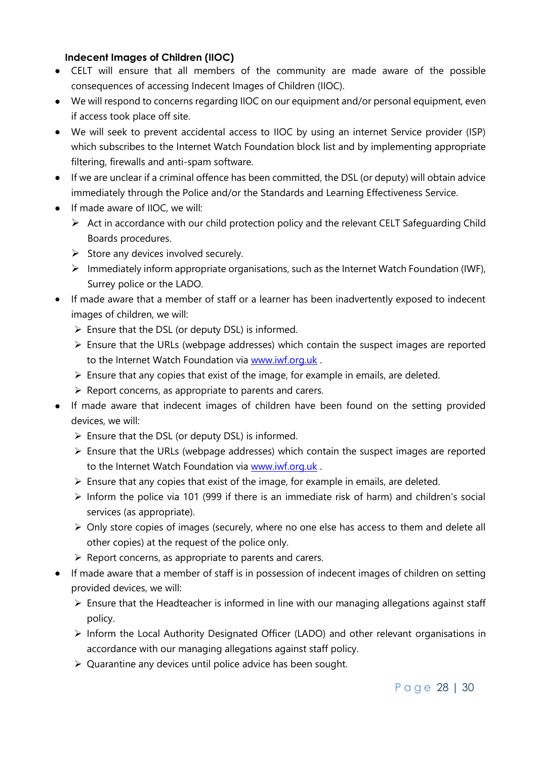#### **Indecent Images of Children (IIOC)**

- CELT will ensure that all members of the community are made aware of the possible consequences of accessing Indecent Images of Children (IIOC).
- We will respond to concerns regarding IIOC on our equipment and/or personal equipment, even if access took place off site.
- We will seek to prevent accidental access to IIOC by using an internet Service provider (ISP) which subscribes to the Internet Watch Foundation block list and by implementing appropriate filtering, firewalls and anti-spam software.
- If we are unclear if a criminal offence has been committed, the DSL (or deputy) will obtain advice immediately through the Police and/or the Standards and Learning Effectiveness Service.
- If made aware of IIOC, we will:
	- $\triangleright$  Act in accordance with our child protection policy and the relevant CELT Safeguarding Child Boards procedures.
	- $\triangleright$  Store any devices involved securely.
	- $\triangleright$  Immediately inform appropriate organisations, such as the Internet Watch Foundation (IWF), Surrey police or the LADO.
- If made aware that a member of staff or a learner has been inadvertently exposed to indecent images of children, we will:
	- $\triangleright$  Ensure that the DSL (or deputy DSL) is informed.
	- $\triangleright$  Ensure that the URLs (webpage addresses) which contain the suspect images are reported to the Internet Watch Foundation via [www.iwf.org.uk](https://www.iwf.org.uk/).
	- $\triangleright$  Ensure that any copies that exist of the image, for example in emails, are deleted.
	- $\triangleright$  Report concerns, as appropriate to parents and carers.
- If made aware that indecent images of children have been found on the setting provided devices, we will:
	- $\triangleright$  Ensure that the DSL (or deputy DSL) is informed.
	- $\triangleright$  Ensure that the URLs (webpage addresses) which contain the suspect images are reported to the Internet Watch Foundation via [www.iwf.org.uk](https://www.iwf.org.uk/).
	- $\triangleright$  Ensure that any copies that exist of the image, for example in emails, are deleted.
	- $\triangleright$  Inform the police via 101 (999 if there is an immediate risk of harm) and children's social services (as appropriate).
	- Only store copies of images (securely, where no one else has access to them and delete all other copies) at the request of the police only.
	- $\triangleright$  Report concerns, as appropriate to parents and carers.
- If made aware that a member of staff is in possession of indecent images of children on setting provided devices, we will:
	- $\triangleright$  Ensure that the Headteacher is informed in line with our managing allegations against staff policy.
	- Inform the Local Authority Designated Officer (LADO) and other relevant organisations in accordance with our managing allegations against staff policy.
	- Quarantine any devices until police advice has been sought.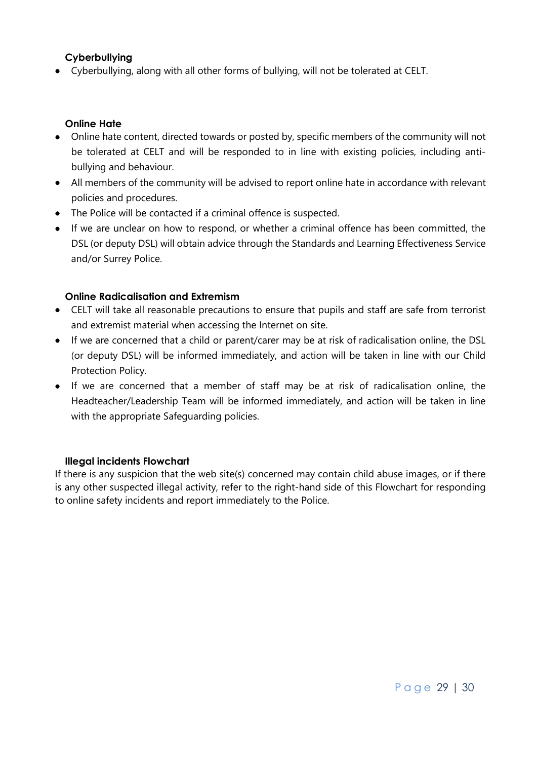#### **Cyberbullying**

Cyberbullying, along with all other forms of bullying, will not be tolerated at CELT.

#### **Online Hate**

- Online hate content, directed towards or posted by, specific members of the community will not be tolerated at CELT and will be responded to in line with existing policies, including antibullying and behaviour.
- All members of the community will be advised to report online hate in accordance with relevant policies and procedures.
- The Police will be contacted if a criminal offence is suspected.
- If we are unclear on how to respond, or whether a criminal offence has been committed, the DSL (or deputy DSL) will obtain advice through the Standards and Learning Effectiveness Service and/or Surrey Police.

#### **Online Radicalisation and Extremism**

- CELT will take all reasonable precautions to ensure that pupils and staff are safe from terrorist and extremist material when accessing the Internet on site.
- If we are concerned that a child or parent/carer may be at risk of radicalisation online, the DSL (or deputy DSL) will be informed immediately, and action will be taken in line with our Child Protection Policy.
- If we are concerned that a member of staff may be at risk of radicalisation online, the Headteacher/Leadership Team will be informed immediately, and action will be taken in line with the appropriate Safeguarding policies.

#### **Illegal incidents Flowchart**

If there is any suspicion that the web site(s) concerned may contain child abuse images, or if there is any other suspected illegal activity, refer to the right-hand side of this Flowchart for responding to online safety incidents and report immediately to the Police.